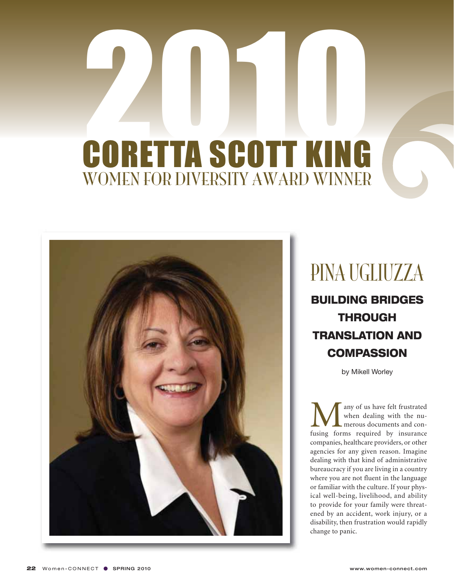## 2010 WOMEN FOR DIVERSITY AWARD WINNER CORETTA SCOTT KING



## PINA UGLIUZZA

BUILDING BRIDGES THROUGH TRANSLATION AND **COMPASSION** 

by Mikell Worley

**M** any of us have felt frustrated<br>when dealing with the nu-<br>fusing forms required by insurance when dealing with the numerous documents and concompanies, healthcare providers, or other agencies for any given reason. Imagine dealing with that kind of administrative bureaucracy if you are living in a country where you are not fluent in the language or familiar with the culture. If your physical well-being, livelihood, and ability to provide for your family were threatened by an accident, work injury, or a disability, then frustration would rapidly change to panic.